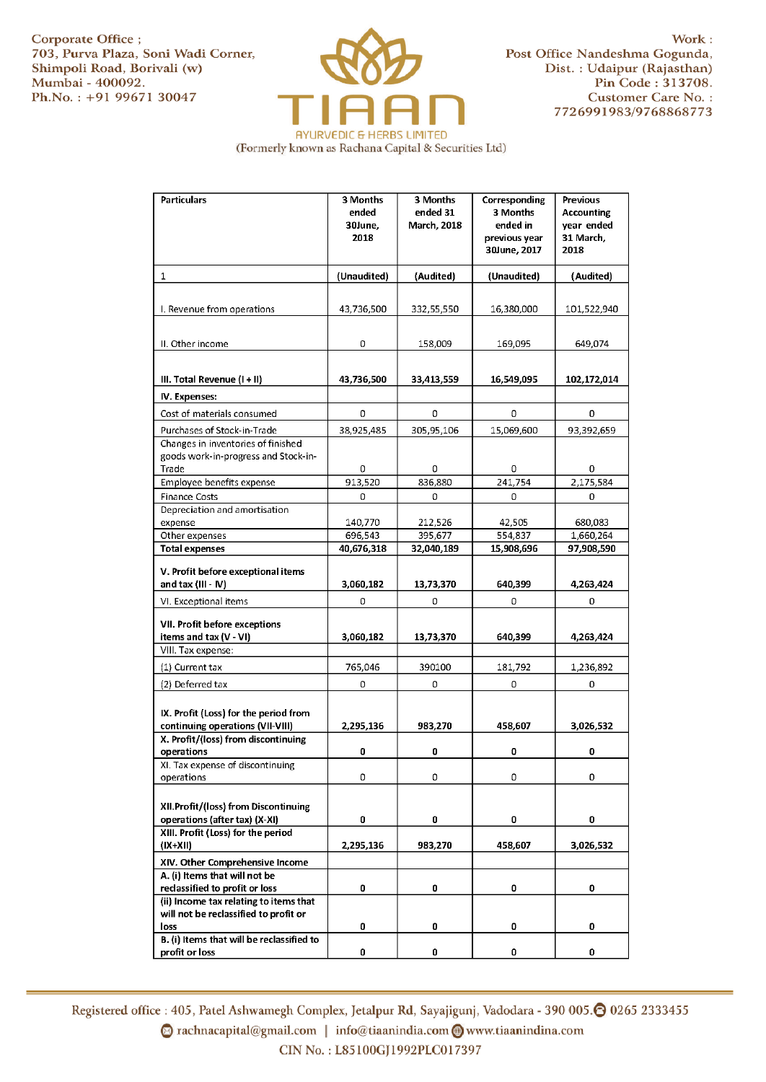Corporate Office ; Work : Work : Work : Work : Work : Work : Work : Work : Work : Work : Work : Work : T03, Purva Plaza, Soni Wadi Corner, New York : Post Office Nandeshma Gogunda, 703, Purva Plaza, Soni Wadi Corner, Post Office Nandeshma Gogunda, Shimpoli Road, Borivali (w) Dist. : Udaipur (Rajasthan) Shimpoli Road, Borivali (w)<br>Mumbai - 400092. Ph.No. : +91 99671 30047 Customer Care No. :



Pin Code : 313708. 7726991983/9768868773

(Formerly known as Rachana Capital & Securities Ltd)

| <b>Particulars</b>                             | 3 Months<br>ended<br>30June,<br>2018 | 3 Months<br>ended 31<br>March, 2018 | Corresponding<br>3 Months<br>ended in<br>previous year<br>30June, 2017 | Previous<br><b>Accounting</b><br>year ended<br>31 March,<br>2018 |
|------------------------------------------------|--------------------------------------|-------------------------------------|------------------------------------------------------------------------|------------------------------------------------------------------|
| 1                                              | (Unaudited)                          | (Audited)                           | (Unaudited)                                                            | (Audited)                                                        |
|                                                |                                      |                                     |                                                                        |                                                                  |
| I. Revenue from operations                     | 43,736,500                           | 332,55,550                          | 16,380,000                                                             | 101,522,940                                                      |
|                                                |                                      |                                     |                                                                        |                                                                  |
|                                                |                                      |                                     |                                                                        |                                                                  |
| II. Other income                               | 0                                    | 158,009                             | 169,095                                                                | 649.074                                                          |
| III. Total Revenue (I + II)                    | 43,736,500                           | 33,413,559                          | 16,549,095                                                             | 102,172,014                                                      |
| IV. Expenses:                                  |                                      |                                     |                                                                        |                                                                  |
| Cost of materials consumed                     | 0                                    | 0                                   | 0                                                                      | 0                                                                |
| Purchases of Stock-in-Trade                    | 38,925,485                           | 305,95,106                          | 15,069,600                                                             | 93,392,659                                                       |
| Changes in inventories of finished             |                                      |                                     |                                                                        |                                                                  |
| goods work-in-progress and Stock-in-           |                                      |                                     |                                                                        |                                                                  |
| Trade                                          | 0                                    | 0                                   | 0                                                                      | 0                                                                |
| Employee benefits expense                      | 913,520                              | 836,880                             | 241,754                                                                | 2,175,584                                                        |
| <b>Finance Costs</b>                           | 0                                    | 0                                   | 0                                                                      | 0                                                                |
| Depreciation and amortisation<br>expense       | 140,770                              | 212,526                             | 42,505                                                                 | 680,083                                                          |
| Other expenses                                 | 696,543                              | 395,677                             | 554,837                                                                | 1,660,264                                                        |
| <b>Total expenses</b>                          | 40,676,318                           | 32,040,189                          | 15,908,696                                                             | 97,908,590                                                       |
|                                                |                                      |                                     |                                                                        |                                                                  |
| V. Profit before exceptional items             |                                      |                                     |                                                                        |                                                                  |
| and tax (III - IV)                             | 3,060,182                            | 13,73,370                           | 640,399                                                                | 4,263,424                                                        |
| VI. Exceptional items                          | 0                                    | 0                                   | 0                                                                      | 0                                                                |
| VII. Profit before exceptions                  |                                      |                                     |                                                                        |                                                                  |
| items and tax (V - VI)                         | 3,060,182                            | 13,73,370                           | 640,399                                                                | 4,263,424                                                        |
| VIII. Tax expense:                             |                                      |                                     |                                                                        |                                                                  |
| (1) Current tax                                | 765,046                              | 390100                              | 181,792                                                                | 1,236,892                                                        |
| (2) Deferred tax                               | 0                                    | 0                                   | 0                                                                      | 0                                                                |
|                                                |                                      |                                     |                                                                        |                                                                  |
| IX. Profit (Loss) for the period from          |                                      |                                     |                                                                        |                                                                  |
| continuing operations (VII-VIII)               | 2,295,136                            | 983,270                             | 458,607                                                                | 3,026,532                                                        |
| X. Profit/(loss) from discontinuing            |                                      |                                     |                                                                        |                                                                  |
| operations                                     | 0                                    | 0                                   | 0                                                                      | 0                                                                |
| XI. Tax expense of discontinuing<br>operations | 0                                    | 0                                   | 0                                                                      | 0                                                                |
|                                                |                                      |                                     |                                                                        |                                                                  |
| XII.Profit/(loss) from Discontinuing           |                                      |                                     |                                                                        |                                                                  |
| operations (after tax) (X-XI)                  | 0                                    | 0                                   | 0                                                                      | 0                                                                |
| XIII. Profit (Loss) for the period             |                                      |                                     |                                                                        |                                                                  |
| $(IX+XII)$                                     | 2,295,136                            | 983,270                             | 458,607                                                                | 3,026,532                                                        |
| XIV. Other Comprehensive Income                |                                      |                                     |                                                                        |                                                                  |
| A. (i) Items that will not be                  |                                      |                                     |                                                                        |                                                                  |
| reclassified to profit or loss                 | 0                                    | 0                                   | 0                                                                      | 0                                                                |
| (ii) Income tax relating to items that         |                                      |                                     |                                                                        |                                                                  |
| will not be reclassified to profit or<br>loss  | 0                                    | 0                                   | 0                                                                      | 0                                                                |
| B. (i) Items that will be reclassified to      |                                      |                                     |                                                                        |                                                                  |
| profit or loss                                 | 0                                    | 0                                   | 0                                                                      | 0                                                                |

Registered office : 405, Patel Ashwamegh Complex, Jetalpur Rd, Sayajigunj, Vadodara - 390 005.۞ 0265 2333455  $\odot$  rachnacapital@gmail.com | info@tiaanindia.com  $\bigcirc$  www.tiaanindina.com CIN No.: L85100GJ1992PLC017397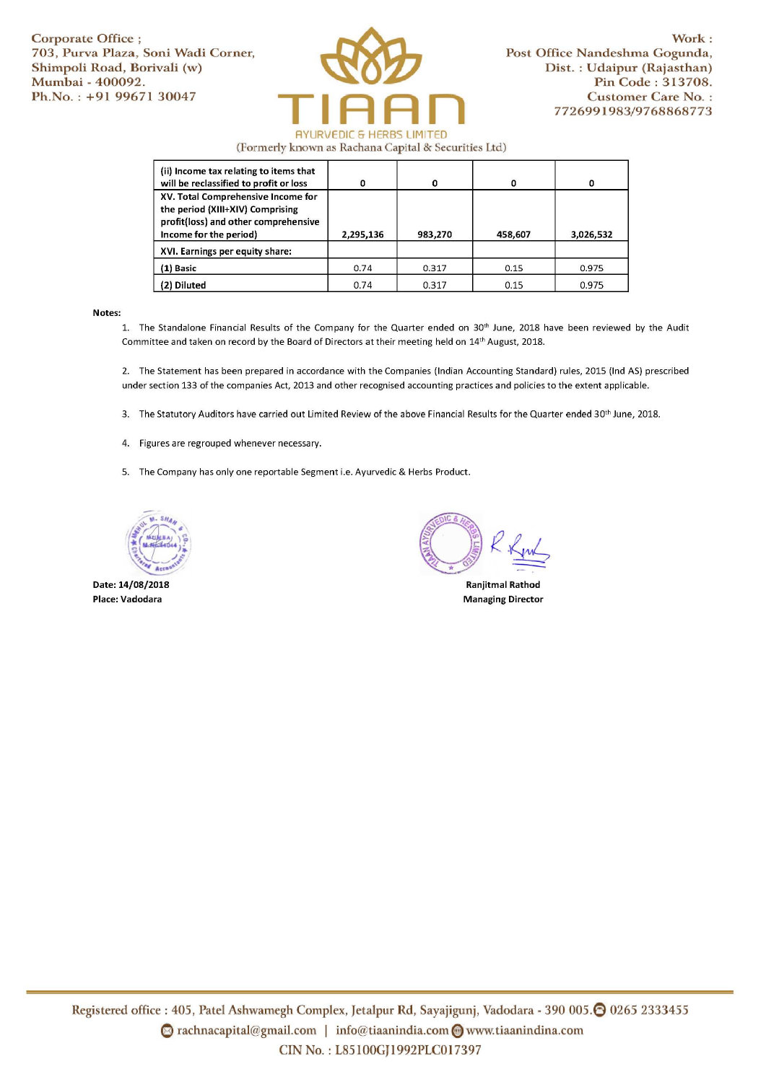

(Formerly known as Rachana Capital & Securities Ltd)

| (ii) Income tax relating to items that<br>will be reclassified to profit or loss                                                         | O         | 0       |         | n         |
|------------------------------------------------------------------------------------------------------------------------------------------|-----------|---------|---------|-----------|
| XV. Total Comprehensive Income for<br>the period (XIII+XIV) Comprising<br>profit(loss) and other comprehensive<br>Income for the period) | 2,295,136 | 983,270 | 458,607 | 3,026,532 |
| XVI. Earnings per equity share:                                                                                                          |           |         |         |           |
| $(1)$ Basic                                                                                                                              | 0.74      | 0.317   | 0.15    | 0.975     |
| (2) Diluted                                                                                                                              | 0.74      | 0.317   | 0.15    | 0.975     |

## Notes:

1. The Standalone Financial Results of the Company for the Quarter ended on 30<sup>th</sup> June, 2018 have been reviewed by the Audit Committee and taken on record by the Board of Directors at their meeting held on 14'h August, 2018.

2. The Statement has been prepared in accordance with the Companies (Indian Accounting Standard) rules, 2015 (Ind AS) prescribed under section 133 of the companies Act, 2013 and other recognised accounting practices and policies to the extent applicable.

3. The Statutory Auditors have carried out Limited Review of the above Financial Results for the Quarter ended 30'h June, 2018.

- 4. Figures are regrouped whenever necessary.
- 5. The Company has only one reportable Segment i.e. Ayurvedic & Herbs Product.



Date: 14/08/2018 Place: Vadodara

Ranjitmal Rathod

Managing Director